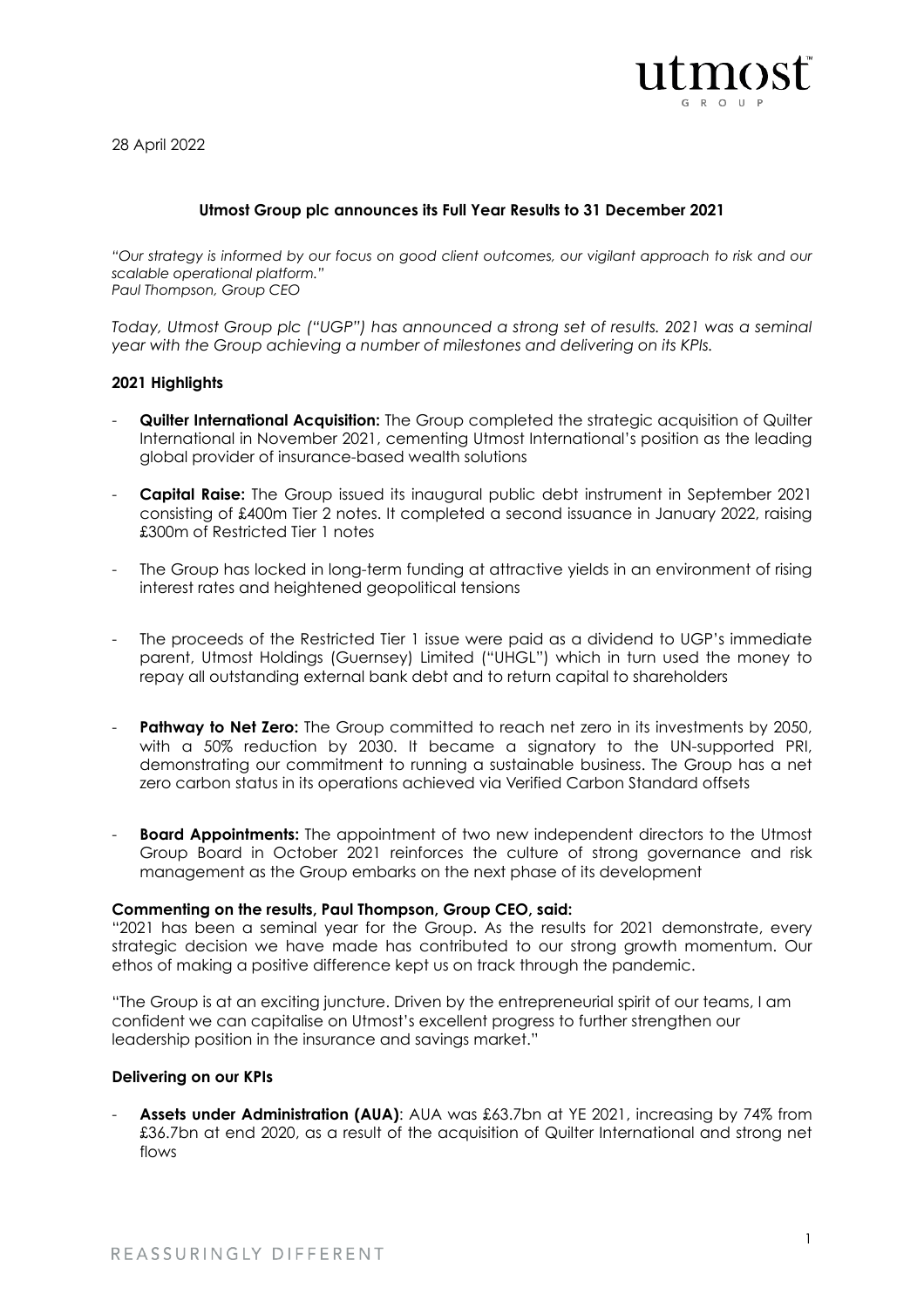

28 April 2022

# **Utmost Group plc announces its Full Year Results to 31 December 2021**

*"Our strategy is informed by our focus on good client outcomes, our vigilant approach to risk and our scalable operational platform." Paul Thompson, Group CEO*

*Today, Utmost Group plc ("UGP") has announced a strong set of results. 2021 was a seminal year with the Group achieving a number of milestones and delivering on its KPIs.*

## **2021 Highlights**

- **Quilter International Acquisition:** The Group completed the strategic acquisition of Quilter International in November 2021, cementing Utmost International's position as the leading global provider of insurance-based wealth solutions
- **Capital Raise:** The Group issued its inaugural public debt instrument in September 2021 consisting of £400m Tier 2 notes. It completed a second issuance in January 2022, raising £300m of Restricted Tier 1 notes
- The Group has locked in long-term funding at attractive yields in an environment of rising interest rates and heightened geopolitical tensions
- The proceeds of the Restricted Tier 1 issue were paid as a dividend to UGP's immediate parent, Utmost Holdings (Guernsey) Limited ("UHGL") which in turn used the money to repay all outstanding external bank debt and to return capital to shareholders
- **Pathway to Net Zero:** The Group committed to reach net zero in its investments by 2050, with a 50% reduction by 2030. It became a signatory to the UN-supported PRI, demonstrating our commitment to running a sustainable business. The Group has a net zero carbon status in its operations achieved via Verified Carbon Standard offsets
- **Board Appointments:** The appointment of two new independent directors to the Utmost Group Board in October 2021 reinforces the culture of strong governance and risk management as the Group embarks on the next phase of its development

#### **Commenting on the results, Paul Thompson, Group CEO, said:**

"2021 has been a seminal year for the Group. As the results for 2021 demonstrate, every strategic decision we have made has contributed to our strong growth momentum. Our ethos of making a positive difference kept us on track through the pandemic.

"The Group is at an exciting juncture. Driven by the entrepreneurial spirit of our teams, I am confident we can capitalise on Utmost's excellent progress to further strengthen our leadership position in the insurance and savings market."

## **Delivering on our KPIs**

**Assets under Administration (AUA):** AUA was £63.7bn at YE 2021, increasing by 74% from £36.7bn at end 2020, as a result of the acquisition of Quilter International and strong net flows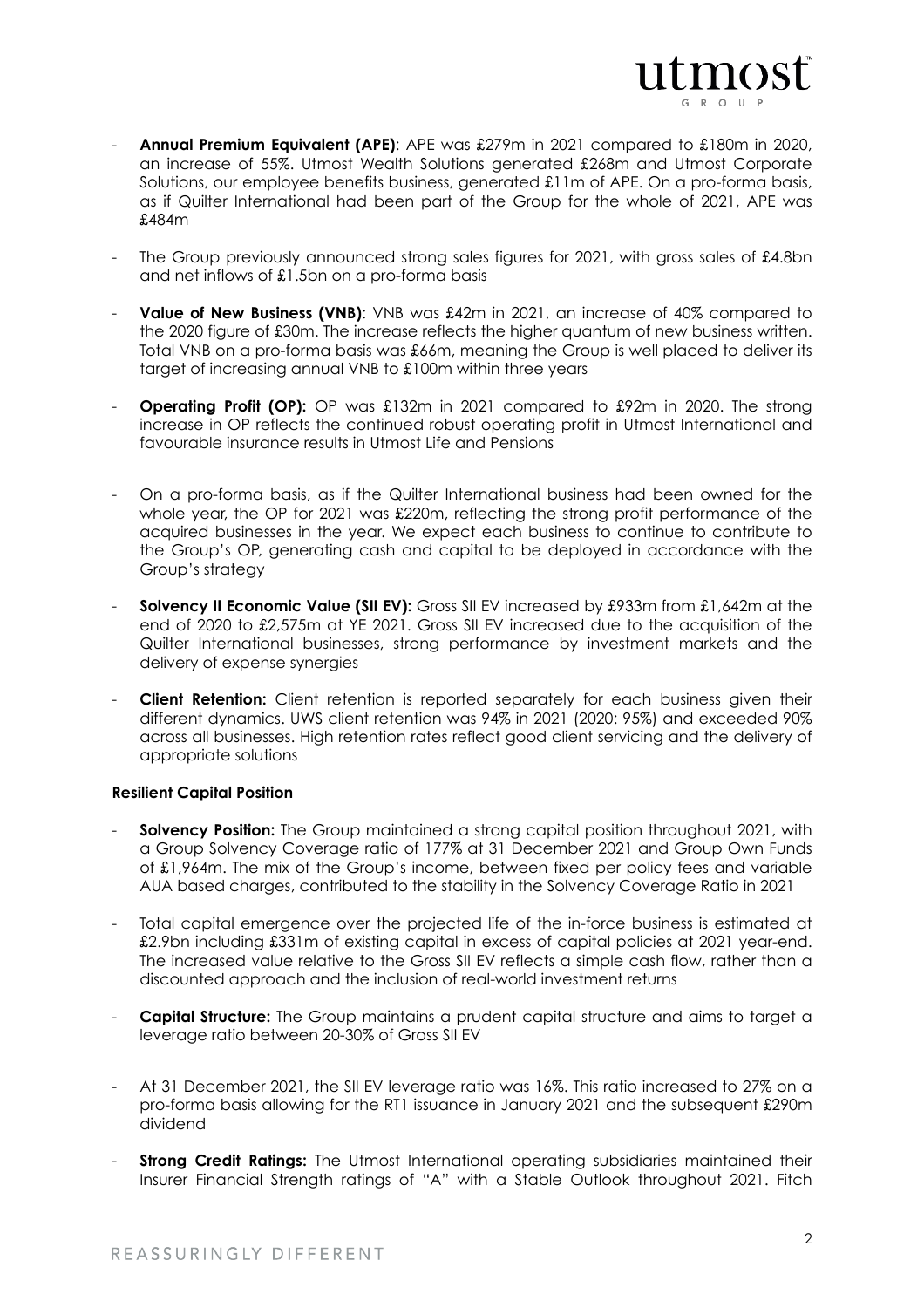

- **Annual Premium Equivalent (APE)**: APE was £279m in 2021 compared to £180m in 2020, an increase of 55%. Utmost Wealth Solutions generated £268m and Utmost Corporate Solutions, our employee benefits business, generated £11m of APE. On a pro-forma basis, as if Quilter International had been part of the Group for the whole of 2021, APE was £484m
- The Group previously announced strong sales figures for 2021, with gross sales of £4.8bn and net inflows of £1.5bn on a pro-forma basis
- **Value of New Business (VNB)**: VNB was £42m in 2021, an increase of 40% compared to the 2020 figure of £30m. The increase reflects the higher quantum of new business written. Total VNB on a pro-forma basis was £66m, meaning the Group is well placed to deliver its target of increasing annual VNB to £100m within three years
- **Operating Profit (OP):** OP was £132m in 2021 compared to £92m in 2020. The strong increase in OP reflects the continued robust operating profit in Utmost International and favourable insurance results in Utmost Life and Pensions
- On a pro-forma basis, as if the Quilter International business had been owned for the whole year, the OP for 2021 was £220m, reflecting the strong profit performance of the acquired businesses in the year. We expect each business to continue to contribute to the Group's OP, generating cash and capital to be deployed in accordance with the Group's strategy
- **Solvency II Economic Value (SII EV):** Gross SII FV increased by £933m from £1,642m at the end of 2020 to £2,575m at YE 2021. Gross SII EV increased due to the acquisition of the Quilter International businesses, strong performance by investment markets and the delivery of expense synergies
- **Client Retention:** Client retention is reported separately for each business given their different dynamics. UWS client retention was 94% in 2021 (2020: 95%) and exceeded 90% across all businesses. High retention rates reflect good client servicing and the delivery of appropriate solutions

## **Resilient Capital Position**

- **Solvency Position:** The Group maintained a strong capital position throughout 2021, with a Group Solvency Coverage ratio of 177% at 31 December 2021 and Group Own Funds of £1,964m. The mix of the Group's income, between fixed per policy fees and variable AUA based charges, contributed to the stability in the Solvency Coverage Ratio in 2021
- Total capital emergence over the projected life of the in-force business is estimated at £2.9bn including £331m of existing capital in excess of capital policies at 2021 year-end. The increased value relative to the Gross SII EV reflects a simple cash flow, rather than a discounted approach and the inclusion of real-world investment returns
- **Capital Structure:** The Group maintains a prudent capital structure and aims to target a leverage ratio between 20-30% of Gross SII EV
- At 31 December 2021, the SII EV leverage ratio was 16%. This ratio increased to 27% on a pro-forma basis allowing for the RT1 issuance in January 2021 and the subsequent £290m dividend
- **Strong Credit Ratings:** The Utmost International operating subsidiaries maintained their Insurer Financial Strength ratings of "A" with a Stable Outlook throughout 2021. Fitch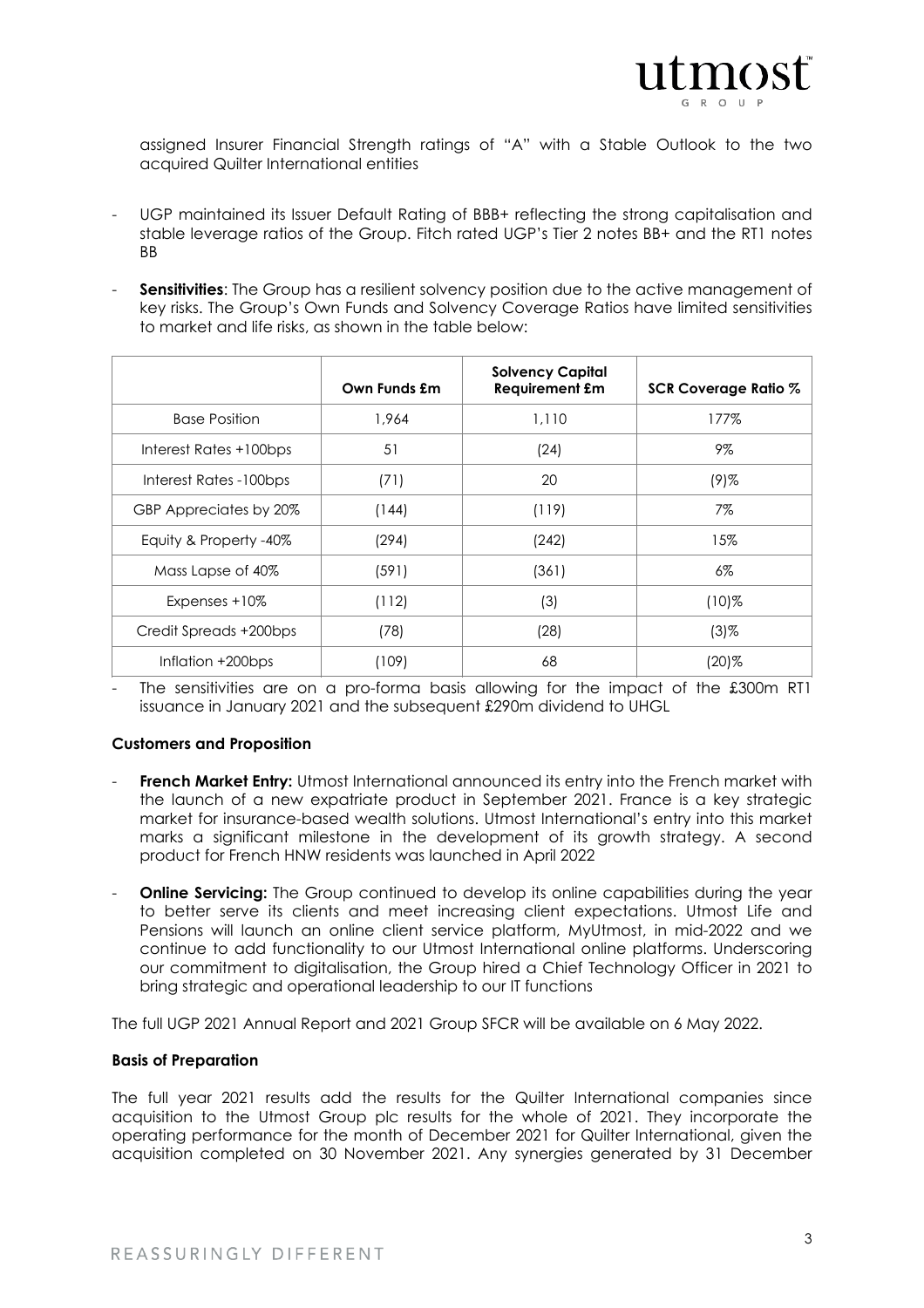

assigned Insurer Financial Strength ratings of "A" with a Stable Outlook to the two acquired Quilter International entities

- UGP maintained its Issuer Default Rating of BBB+ reflecting the strong capitalisation and stable leverage ratios of the Group. Fitch rated UGP's Tier 2 notes BB+ and the RT1 notes BB
- **Sensitivities:** The Group has a resilient solvency position due to the active management of key risks. The Group's Own Funds and Solvency Coverage Ratios have limited sensitivities to market and life risks, as shown in the table below:

|                        | Own Funds £m | <b>Solvency Capital</b><br><b>Requirement £m</b> | SCR Coverage Ratio % |
|------------------------|--------------|--------------------------------------------------|----------------------|
| <b>Base Position</b>   | 1.964        | 1,110                                            | 177%                 |
| Interest Rates +100bps | 51           | (24)                                             | 9%                   |
| Interest Rates -100bps | (71)         | 20                                               | $(9)$ %              |
| GBP Appreciates by 20% | (144)        | (119)                                            | 7%                   |
| Equity & Property -40% | (294)        | (242)                                            | 15%                  |
| Mass Lapse of 40%      | (591)        | (361)                                            | $6\%$                |
| Expenses +10%          | (112)        | (3)                                              | $(10)\%$             |
| Credit Spreads +200bps | (78)         | (28)                                             | $(3)$ %              |
| Inflation +200bps      | (109)        | 68                                               | (20)%                |

The sensitivities are on a pro-forma basis allowing for the impact of the £300m RT1 issuance in January 2021 and the subsequent £290m dividend to UHGL

## **Customers and Proposition**

- French Market Entry: Utmost International announced its entry into the French market with the launch of a new expatriate product in September 2021. France is a key strategic market for insurance-based wealth solutions. Utmost International's entry into this market marks a significant milestone in the development of its growth strategy. A second product for French HNW residents was launched in April 2022
- **Online Servicing:** The Group continued to develop its online capabilities during the year to better serve its clients and meet increasing client expectations. Utmost Life and Pensions will launch an online client service platform, MyUtmost, in mid-2022 and we continue to add functionality to our Utmost International online platforms. Underscoring our commitment to digitalisation, the Group hired a Chief Technology Officer in 2021 to bring strategic and operational leadership to our IT functions

The full UGP 2021 Annual Report and 2021 Group SFCR will be available on 6 May 2022.

## **Basis of Preparation**

The full year 2021 results add the results for the Quilter International companies since acquisition to the Utmost Group plc results for the whole of 2021. They incorporate the operating performance for the month of December 2021 for Quilter International, given the acquisition completed on 30 November 2021. Any synergies generated by 31 December